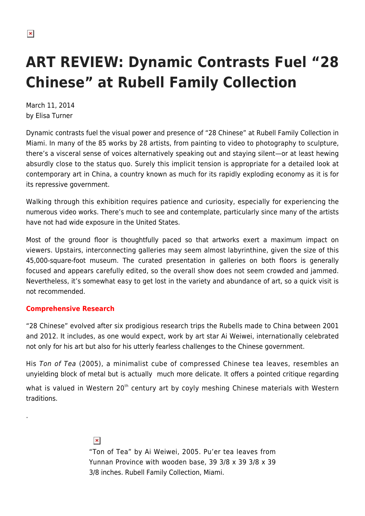# **ART REVIEW: Dynamic Contrasts Fuel "28 Chinese" at Rubell Family Collection**

March 11, 2014 by Elisa Turner

Dynamic contrasts fuel the visual power and presence of "28 Chinese" at Rubell Family Collection in Miami. In many of the 85 works by 28 artists, from painting to video to photography to sculpture, there's a visceral sense of voices alternatively speaking out and staying silent—or at least hewing absurdly close to the status quo. Surely this implicit tension is appropriate for a detailed look at contemporary art in China, a country known as much for its rapidly exploding economy as it is for its repressive government.

Walking through this exhibition requires patience and curiosity, especially for experiencing the numerous video works. There's much to see and contemplate, particularly since many of the artists have not had wide exposure in the United States.

Most of the ground floor is thoughtfully paced so that artworks exert a maximum impact on viewers. Upstairs, interconnecting galleries may seem almost labyrinthine, given the size of this 45,000-square-foot museum. The curated presentation in galleries on both floors is generally focused and appears carefully edited, so the overall show does not seem crowded and jammed. Nevertheless, it's somewhat easy to get lost in the variety and abundance of art, so a quick visit is not recommended.

## **Comprehensive Research**

.

"28 Chinese" evolved after six prodigious research trips the Rubells made to China between 2001 and 2012. It includes, as one would expect, work by art star Ai Weiwei, internationally celebrated not only for his art but also for his utterly fearless challenges to the Chinese government.

His Ton of Tea (2005), a minimalist cube of compressed Chinese tea leaves, resembles an unyielding block of metal but is actually much more delicate. It offers a pointed critique regarding

what is valued in Western 20<sup>th</sup> century art by coyly meshing Chinese materials with Western traditions.

> $\pmb{\times}$ "Ton of Tea" by Ai Weiwei, 2005. Pu'er tea leaves from Yunnan Province with wooden base, 39 3/8 x 39 3/8 x 39 3/8 inches. Rubell Family Collection, Miami.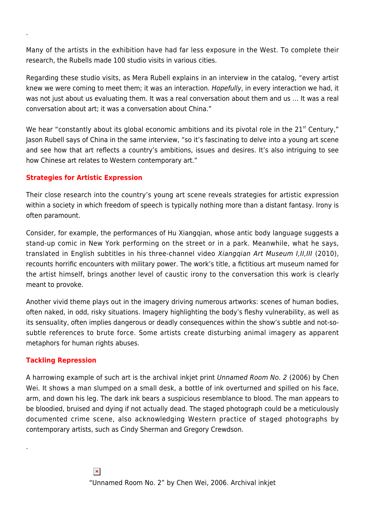Many of the artists in the exhibition have had far less exposure in the West. To complete their research, the Rubells made 100 studio visits in various cities.

Regarding these studio visits, as Mera Rubell explains in an interview in the catalog, "every artist knew we were coming to meet them; it was an interaction. Hopefully, in every interaction we had, it was not just about us evaluating them. It was a real conversation about them and us … It was a real conversation about art; it was a conversation about China."

We hear "constantly about its global economic ambitions and its pivotal role in the  $21<sup>st</sup>$  Century," Jason Rubell says of China in the same interview, "so it's fascinating to delve into a young art scene and see how that art reflects a country's ambitions, issues and desires. It's also intriguing to see how Chinese art relates to Western contemporary art."

### **Strategies for Artistic Expression**

.

Their close research into the country's young art scene reveals strategies for artistic expression within a society in which freedom of speech is typically nothing more than a distant fantasy. Irony is often paramount.

Consider, for example, the performances of Hu Xiangqian, whose antic body language suggests a stand-up comic in New York performing on the street or in a park. Meanwhile, what he says, translated in English subtitles in his three-channel video Xiangqian Art Museum I,II,III (2010), recounts horrific encounters with military power. The work's title, a fictitious art museum named for the artist himself, brings another level of caustic irony to the conversation this work is clearly meant to provoke.

Another vivid theme plays out in the imagery driving numerous artworks: scenes of human bodies, often naked, in odd, risky situations. Imagery highlighting the body's fleshy vulnerability, as well as its sensuality, often implies dangerous or deadly consequences within the show's subtle and not-sosubtle references to brute force. Some artists create disturbing animal imagery as apparent metaphors for human rights abuses.

### **Tackling Repression**

.

A harrowing example of such art is the archival inkjet print Unnamed Room No. 2 (2006) by Chen Wei. It shows a man slumped on a small desk, a bottle of ink overturned and spilled on his face, arm, and down his leg. The dark ink bears a suspicious resemblance to blood. The man appears to be bloodied, bruised and dying if not actually dead. The staged photograph could be a meticulously documented crime scene, also acknowledging Western practice of staged photographs by contemporary artists, such as Cindy Sherman and Gregory Crewdson.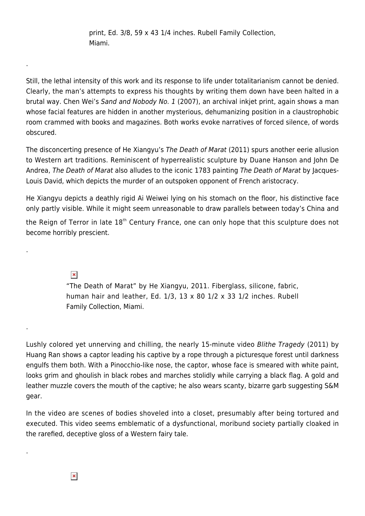print, Ed. 3/8, 59 x 43 1/4 inches. Rubell Family Collection, Miami.

Still, the lethal intensity of this work and its response to life under totalitarianism cannot be denied. Clearly, the man's attempts to express his thoughts by writing them down have been halted in a brutal way. Chen Wei's Sand and Nobody No. 1 (2007), an archival inkjet print, again shows a man whose facial features are hidden in another mysterious, dehumanizing position in a claustrophobic room crammed with books and magazines. Both works evoke narratives of forced silence, of words obscured.

The disconcerting presence of He Xiangyu's The Death of Marat (2011) spurs another eerie allusion to Western art traditions. Reminiscent of hyperrealistic sculpture by Duane Hanson and John De Andrea, The Death of Marat also alludes to the iconic 1783 painting The Death of Marat by Jacques-Louis David, which depicts the murder of an outspoken opponent of French aristocracy.

He Xiangyu depicts a deathly rigid Ai Weiwei lying on his stomach on the floor, his distinctive face only partly visible. While it might seem unreasonable to draw parallels between today's China and

the Reign of Terror in late 18<sup>th</sup> Century France, one can only hope that this sculpture does not become horribly prescient.

 $\pmb{\times}$ 

.

.

.

.

"The Death of Marat" by He Xiangyu, 2011. Fiberglass, silicone, fabric, human hair and leather, Ed.  $1/3$ ,  $13 \times 80$   $1/2 \times 33$   $1/2$  inches. Rubell Family Collection, Miami.

Lushly colored yet unnerving and chilling, the nearly 15-minute video Blithe Tragedy (2011) by Huang Ran shows a captor leading his captive by a rope through a picturesque forest until darkness engulfs them both. With a Pinocchio-like nose, the captor, whose face is smeared with white paint, looks grim and ghoulish in black robes and marches stolidly while carrying a black flag. A gold and leather muzzle covers the mouth of the captive; he also wears scanty, bizarre garb suggesting S&M gear.

In the video are scenes of bodies shoveled into a closet, presumably after being tortured and executed. This video seems emblematic of a dysfunctional, moribund society partially cloaked in the rarefied, deceptive gloss of a Western fairy tale.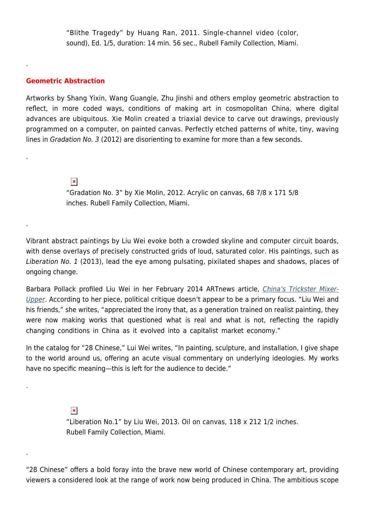"Blithe Tragedy" by Huang Ran, 2011. Single-channel video (color, sound), Ed. 1/5, duration: 14 min. 56 sec., Rubell Family Collection, Miami.

#### **Geometric Abstraction**

.

.

.

.

.

Artworks by Shang Yixin, Wang Guangle, Zhu Jinshi and others employ geometric abstraction to reflect, in more coded ways, conditions of making art in cosmopolitan China, where digital advances are ubiquitous. Xie Molin created a triaxial device to carve out drawings, previously programmed on a computer, on painted canvas. Perfectly etched patterns of white, tiny, waving lines in Gradation No. 3 (2012) are disorienting to examine for more than a few seconds.

> $\pmb{\times}$ "Gradation No. 3" by Xie Molin, 2012. Acrylic on canvas, 68 7/8 x 171 5/8 inches. Rubell Family Collection, Miami.

Vibrant abstract paintings by Liu Wei evoke both a crowded skyline and computer circuit boards, with dense overlays of precisely constructed grids of loud, saturated color. His paintings, such as Liberation No. 1 (2013), lead the eye among pulsating, pixilated shapes and shadows, places of ongoing change.

Barbara Pollack profiled Liu Wei in her February 2014 ARTnews article, *[China's Trickster Mixer-](http://www.artnews.com/2014/02/26/liu-wei-chinas-trickster-mixer-upper-artist/)*[Upper](http://www.artnews.com/2014/02/26/liu-wei-chinas-trickster-mixer-upper-artist/). According to her piece, political critique doesn't appear to be a primary focus. "Liu Wei and his friends," she writes, "appreciated the irony that, as a generation trained on realist painting, they were now making works that questioned what is real and what is not, reflecting the rapidly changing conditions in China as it evolved into a capitalist market economy."

In the catalog for "28 Chinese," Lui Wei writes, "In painting, sculpture, and installation, I give shape to the world around us, offering an acute visual commentary on underlying ideologies. My works have no specific meaning—this is left for the audience to decide."

> $\pmb{\times}$ "Liberation No.1" by Liu Wei, 2013. Oil on canvas, 118 x 212 1/2 inches. Rubell Family Collection, Miami.

"28 Chinese" offers a bold foray into the brave new world of Chinese contemporary art, providing viewers a considered look at the range of work now being produced in China. The ambitious scope